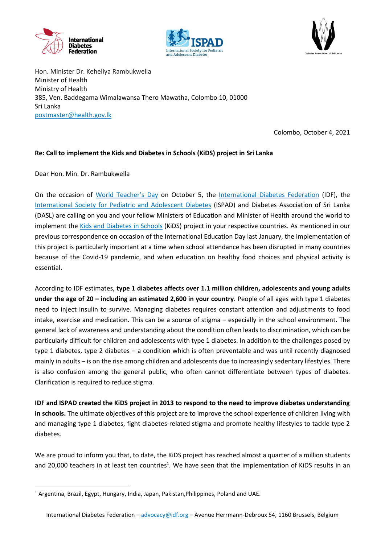





Hon. Minister Dr. Keheliya Rambukwella Minister of Health Ministry of Health 385, Ven. Baddegama Wimalawansa Thero Mawatha, Colombo 10, 01000 Sri Lanka [postmaster@health.gov.lk](mailto:postmaster@health.gov.lk)

Colombo, October 4, 2021

## **Re: Call to implement the Kids and Diabetes in Schools (KiDS) project in Sri Lanka**

Dear Hon. Min. Dr. Rambukwella

**.** 

On the occasion of [World Teacher's Day](https://en.unesco.org/commemorations/worldteachersday) on October 5, the [International Diabetes Federation](https://idf.org/) (IDF), the [International Society for Pediatric and Adolescent Diabetes](https://www.ispad.org/) (ISPAD) and Diabetes Association of Sri Lanka (DASL) are calling on you and your fellow Ministers of Education and Minister of Health around the world to implement the [Kids and Diabetes in Schools](https://kids.idf.org/) (KiDS) project in your respective countries. As mentioned in our previous correspondence on occasion of the International Education Day last January, the implementation of this project is particularly important at a time when school attendance has been disrupted in many countries because of the Covid-19 pandemic, and when education on healthy food choices and physical activity is essential.

According to IDF estimates, **type 1 diabetes affects over 1.1 million children, adolescents and young adults under the age of 20 – including an estimated 2,600 in your country**. People of all ages with type 1 diabetes need to inject insulin to survive. Managing diabetes requires constant attention and adjustments to food intake, exercise and medication. This can be a source of stigma – especially in the school environment. The general lack of awareness and understanding about the condition often leads to discrimination, which can be particularly difficult for children and adolescents with type 1 diabetes. In addition to the challenges posed by type 1 diabetes, type 2 diabetes – a condition which is often preventable and was until recently diagnosed mainly in adults – is on the rise among children and adolescents due to increasingly sedentary lifestyles. There is also confusion among the general public, who often cannot differentiate between types of diabetes. Clarification is required to reduce stigma.

**IDF and ISPAD created the KiDS project in 2013 to respond to the need to improve diabetes understanding in schools.** The ultimate objectives of this project are to improve the school experience of children living with and managing type 1 diabetes, fight diabetes-related stigma and promote healthy lifestyles to tackle type 2 diabetes.

We are proud to inform you that, to date, the KiDS project has reached almost a quarter of a million students and 20,000 teachers in at least ten countries<sup>1</sup>. We have seen that the implementation of KiDS results in an

<sup>&</sup>lt;sup>1</sup> Argentina, Brazil, Egypt, Hungary, India, Japan, Pakistan, Philippines, Poland and UAE.